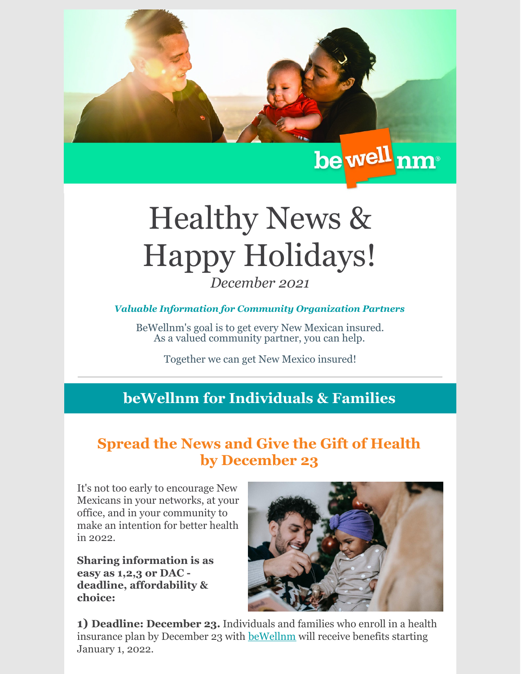

# Healthy News & Happy Holidays! *December 2021*

#### *Valuable Information for Community Organization Partners*

BeWellnm's goal is to get every New Mexican insured. As a valued community partner, you can help.

Together we can get New Mexico insured!

## **beWellnm for Individuals & Families**

# **Spread the News and Give the Gift of Health by December 23**

It's not too early to encourage New Mexicans in your networks, at your office, and in your community to make an intention for better health in 2022.

**Sharing information is as easy as 1,2,3 or DAC deadline, affordability & choice:**



**1) Deadline: December 23.** Individuals and families who enroll in a health insurance plan by December 23 with [beWellnm](https://www.bewellnm.com/) will receive benefits starting January 1, 2022.